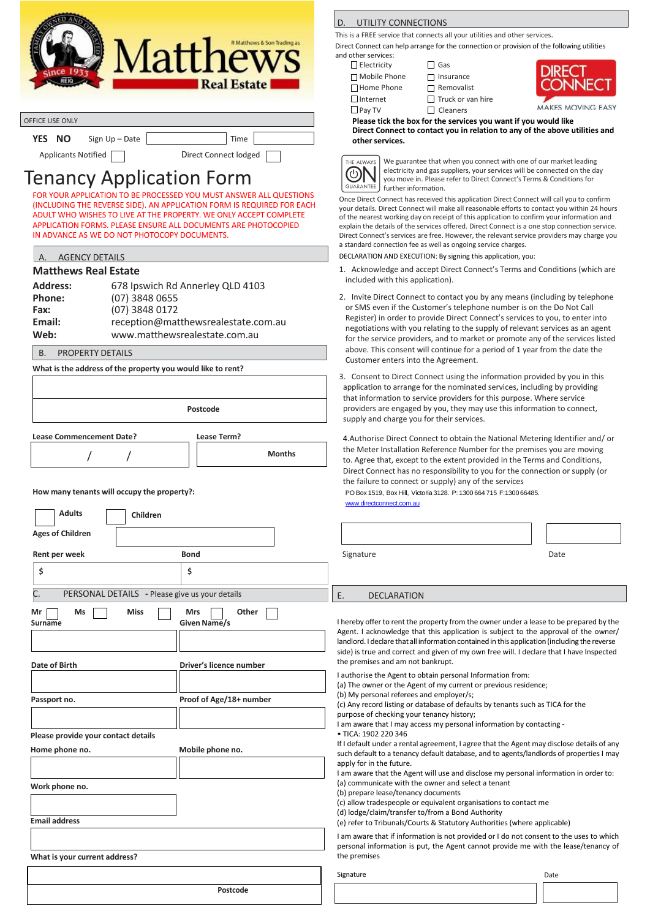

| <b>OFFICE USE ONLY</b> |                |                       |  |
|------------------------|----------------|-----------------------|--|
| <b>YES</b><br>- NO     | Sign Up - Date | Time                  |  |
| Applicants Notified    |                | Direct Connect lodged |  |

## Tenancy Application Form

FOR YOUR APPLICATION TO BE PROCESSED YOU MUST ANSWER ALL QUESTIONS (INCLUDING THE REVERSE SIDE). AN APPLICATION FORM IS REQUIRED FOR EACH ADULT WHO WISHES TO LIVE AT THE PROPERTY. WE ONLY ACCEPT COMPLETE APPLICATION FORMS. PLEASE ENSURE ALL DOCUMENTS ARE PHOTOCOPIED IN ADVANCE AS WE DO NOT PHOTOCOPY DOCUMENTS.

## **Matthews Real Estate**

| <b>Address:</b> | 678 Ipswich Rd Annerley QLD 4103    |
|-----------------|-------------------------------------|
| Phone:          | (07) 3848 0655                      |
| Fax:            | (07) 3848 0172                      |
| Email:          | reception@matthewsrealestate.com.au |
| Web:            | www.matthewsrealestate.com.au       |

B. PROPERTY DETAILS

**What is the address of the property you would like to rent?**

| Postcode<br><b>Lease Commencement Date?</b><br>Lease Term?<br><b>Months</b>                         |                                     | 3. Consent to Direct Connect using the information provided by<br>application to arrange for the nominated services, including by<br>that information to service providers for this purpose. Where s<br>providers are engaged by you, they may use this information to<br>supply and charge you for their services.               |      |  |
|-----------------------------------------------------------------------------------------------------|-------------------------------------|-----------------------------------------------------------------------------------------------------------------------------------------------------------------------------------------------------------------------------------------------------------------------------------------------------------------------------------|------|--|
|                                                                                                     |                                     | 4. Authorise Direct Connect to obtain the National Metering Ide<br>the Meter Installation Reference Number for the premises you<br>to. Agree that, except to the extent provided in the Terms and O<br>Direct Connect has no responsibility to you for the connection of<br>the failure to connect or supply) any of the services |      |  |
| How many tenants will occupy the property?:<br><b>Adults</b><br>Children<br><b>Ages of Children</b> |                                     | PO Box 1519, Box Hill, Victoria 3128. P: 1300 664 715 F: 1300 66485.<br>www.directconnect.com.au                                                                                                                                                                                                                                  |      |  |
| Rent per week                                                                                       | <b>Bond</b>                         | Signature                                                                                                                                                                                                                                                                                                                         | Date |  |
| \$                                                                                                  | \$                                  |                                                                                                                                                                                                                                                                                                                                   |      |  |
| PERSONAL DETAILS - Please give us your details                                                      |                                     | Ε.<br><b>DECLARATION</b>                                                                                                                                                                                                                                                                                                          |      |  |
| <b>Miss</b><br>Mr<br>Ms<br>Surname                                                                  | Other<br><b>Mrs</b><br>Given Name/s | I hereby offer to rent the property from the owner under a lease to be<br>Agent. I acknowledge that this application is subject to the approvi<br>landlord. I declare that all information contained in this application (inclu                                                                                                   |      |  |

**Date of Birth Driver's licence number**

**Passport no. Proof of Age/18+ number**

**Home phone no. Mobile phone no.**

|  | D. UTILITY CONNECTIONS |
|--|------------------------|
|  |                        |

This is a FREE service that connects all your utilities and other services.

Direct Connect can help arrange for the connection or provision of the following utilities and other services:

Electricity Gas

□ Home Phone Bemovalist  $\Box$ Internet  $\Box$  Truck or van hire  $\Box$  Pay TV  $\Box$  Cleaners

□ Mobile Phone □ Insurance



**AKES MOVING EASY** 

**Please tick the box for the services you want if you would like Direct Connect to contact you in relation to any of the above utilities and other services.**



We guarantee that when you connect with one of our market leading electricity and gas suppliers, your services will be connected on the day you move in. Please refer to Direct Connect's Terms & Conditions for further information.

Once Direct Connect has received this application Direct Connect will call you to confirm your details. Direct Connect will make all reasonable efforts to contact you within 24 hours of the nearest working day on receipt of this application to confirm your information and explain the details of the services offered. Direct Connect is a one stop connection service. Direct Connect's services are free. However, the relevant service providers may charge you a standard connection fee as well as ongoing service charges.

DECLARATION AND EXECUTION: By signing this application, you:

- 1. Acknowledge and accept Direct Connect's Terms and Conditions (which are included with this application).
- 2. Invite Direct Connect to contact you by any means (including by telephone or SMS even if the Customer's telephone number is on the Do Not Call Register) in order to provide Direct Connect's services to you, to enter into negotiations with you relating to the supply of relevant services as an agent for the service providers, and to market or promote any of the services listed above. This consent will continue for a period of 1 year from the date the Customer enters into the Agreement.
- 3. Consent to Direct Connect using the information provided by you in this application to arrange for the nominated services, including by providing that information to service providers for this purpose. Where service providers are engaged by you, they may use this information to connect, supply and charge you for their services.

4.Authorise Direct Connect to obtain the National Metering Identifier and/ or the Meter Installation Reference Number for the premises you are moving to. Agree that, except to the extent provided in the Terms and Conditions, Direct Connect has no responsibility to you for the connection or supply (or the failure to connect or supply) any of the services **How many tenants will occupy the property?:** PO Box 1519, Box Hill, Victoria 3128. P: 1300 664 715 F:1300 66485.

|  | Date |
|--|------|
|  |      |

## **DECLARATION**

**I** hereby offer to rent the property from the owner under a lease to be prepared by the Agent. I acknowledge that this application is subject to the approval of the owner/ landlord. I declare that all information contained in this application (including the reverse side) is true and correct and given of my own free will. I declare that I have Inspected the premises and am not bankrupt.

I authorise the Agent to obtain personal Information from: (a) The owner or the Agent of my current or previous residence; (b) My personal referees and employer/s; (c) Any record listing or database of defaults by tenants such as TICA for the purpose of checking your tenancy history;

I am aware that I may access my personal information by contacting -

• TICA: 1902 220 346

If I default under a rental agreement, I agree that the Agent may disclose details of any such default to a tenancy default database, and to agents/landlords of properties I may apply for in the future.

I am aware that the Agent will use and disclose my personal information in order to: (a) communicate with the owner and select a tenant

(b) prepare lease/tenancy documents

(c) allow tradespeople or equivalent organisations to contact me

(d) lodge/claim/transfer to/from a Bond Authority

(e) refer to Tribunals/Courts & Statutory Authorities (where applicable)

I am aware that if information is not provided or I do not consent to the uses to which personal information is put, the Agent cannot provide me with the lease/tenancy of the premises

**What is your current address?**

**Work phone no.**

**Email address**

**Please provide your contact details**

**Postcode**

Signature Date